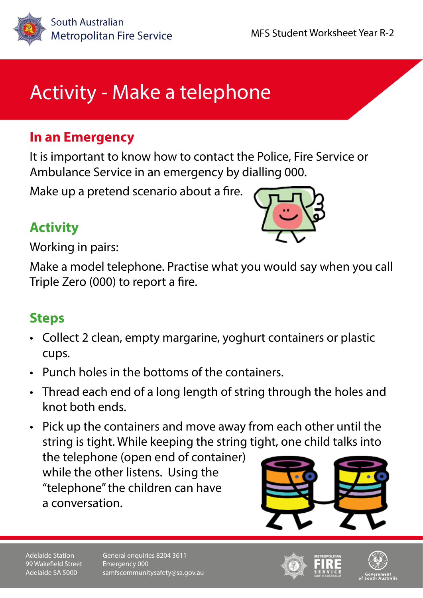

# Activity - Make a telephone

### **In an Emergency**

It is important to know how to contact the Police, Fire Service or Ambulance Service in an emergency by dialling 000.

Make up a pretend scenario about a fire.

# **Activity**



Working in pairs:

Make a model telephone. Practise what you would say when you call Triple Zero (000) to report a fire.

### **Steps**

- Collect 2 clean, empty margarine, yoghurt containers or plastic cups.
- Punch holes in the bottoms of the containers.
- Thread each end of a long length of string through the holes and knot both ends.

• Pick up the containers and move away from each other until the string is tight. While keeping the string tight, one child talks into

the telephone (open end of container) while the other listens. Using the "telephone" the children can have a conversation.



Adelaide Station 99 Wakefield Street Adelaide SA 5000

General enquiries 8204 3611 Emergency 000 samfscommunitysafety@sa.gov.au